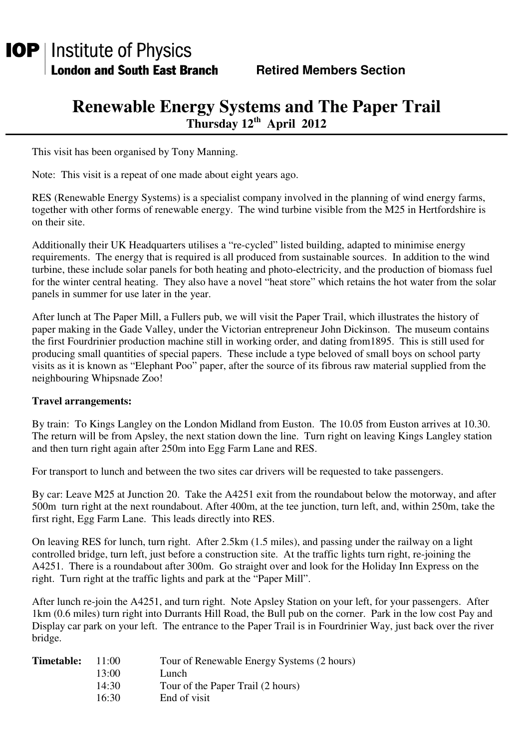## **Renewable Energy Systems and The Paper Trail Thursday 12th April 2012**

This visit has been organised by Tony Manning.

Note: This visit is a repeat of one made about eight years ago.

RES (Renewable Energy Systems) is a specialist company involved in the planning of wind energy farms, together with other forms of renewable energy. The wind turbine visible from the M25 in Hertfordshire is on their site.

Additionally their UK Headquarters utilises a "re-cycled" listed building, adapted to minimise energy requirements. The energy that is required is all produced from sustainable sources. In addition to the wind turbine, these include solar panels for both heating and photo-electricity, and the production of biomass fuel for the winter central heating. They also have a novel "heat store" which retains the hot water from the solar panels in summer for use later in the year.

After lunch at The Paper Mill, a Fullers pub, we will visit the Paper Trail, which illustrates the history of paper making in the Gade Valley, under the Victorian entrepreneur John Dickinson. The museum contains the first Fourdrinier production machine still in working order, and dating from1895. This is still used for producing small quantities of special papers. These include a type beloved of small boys on school party visits as it is known as "Elephant Poo" paper, after the source of its fibrous raw material supplied from the neighbouring Whipsnade Zoo!

## **Travel arrangements:**

By train: To Kings Langley on the London Midland from Euston. The 10.05 from Euston arrives at 10.30. The return will be from Apsley, the next station down the line. Turn right on leaving Kings Langley station and then turn right again after 250m into Egg Farm Lane and RES.

For transport to lunch and between the two sites car drivers will be requested to take passengers.

By car: Leave M25 at Junction 20. Take the A4251 exit from the roundabout below the motorway, and after 500m turn right at the next roundabout. After 400m, at the tee junction, turn left, and, within 250m, take the first right, Egg Farm Lane. This leads directly into RES.

On leaving RES for lunch, turn right. After 2.5km (1.5 miles), and passing under the railway on a light controlled bridge, turn left, just before a construction site. At the traffic lights turn right, re-joining the A4251. There is a roundabout after 300m. Go straight over and look for the Holiday Inn Express on the right. Turn right at the traffic lights and park at the "Paper Mill".

After lunch re-join the A4251, and turn right. Note Apsley Station on your left, for your passengers. After 1km (0.6 miles) turn right into Durrants Hill Road, the Bull pub on the corner. Park in the low cost Pay and Display car park on your left. The entrance to the Paper Trail is in Fourdrinier Way, just back over the river bridge.

| <b>Timetable:</b> | 11:00 | Tour of Renewable Energy Systems (2 hours) |
|-------------------|-------|--------------------------------------------|
|                   | 13:00 | Lunch                                      |
|                   | 14:30 | Tour of the Paper Trail (2 hours)          |
|                   | 16:30 | End of visit                               |
|                   |       |                                            |